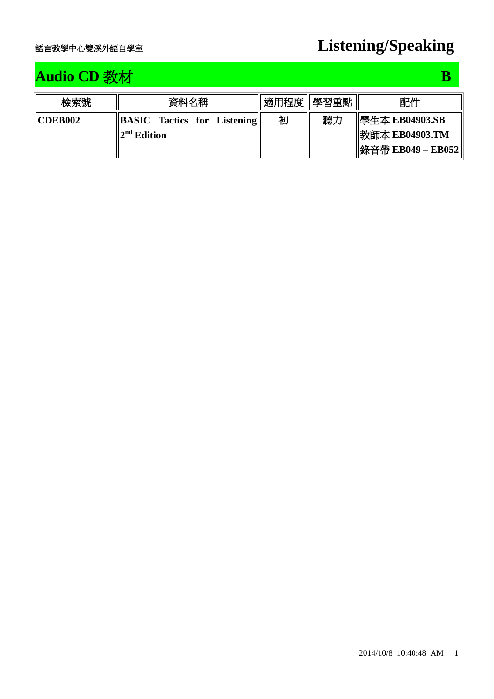## **Audio CD** 教材 **B B B**

| 檢索號            | 資料名稱                                                | 適用程度 | 學習重點 | 配件                                          |
|----------------|-----------------------------------------------------|------|------|---------------------------------------------|
| <b>CDEB002</b> | <b>BASIC</b> Tactics for Listening<br>$2nd$ Edition | 初    | 聽力   | <b>  學生本 EB04903.SB</b><br>  教師本 EB04903.TM |
|                |                                                     |      |      | 錄音帶 EB049 - EB052                           |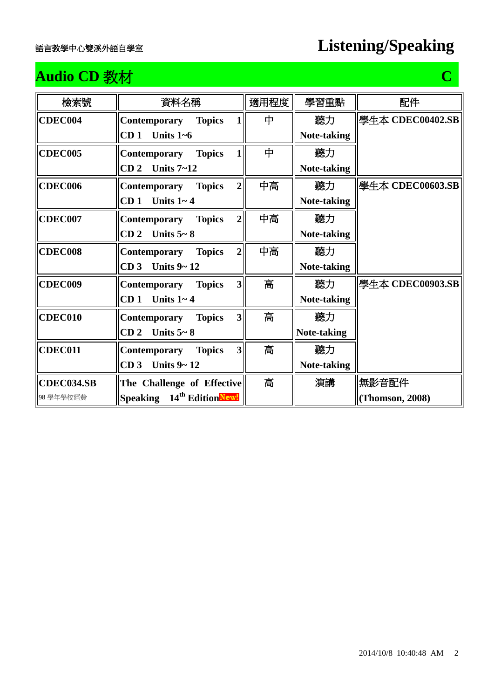## **Audio CD** 教材 **C**

| 檢索號            | 資料名稱                                                            | 適用程度 | 學習重點               | 配件               |
|----------------|-----------------------------------------------------------------|------|--------------------|------------------|
| CDEC004        | <b>Topics</b><br>Contemporary<br>1                              | 中    | 聽力                 | 學生本 CDEC00402.SB |
|                | Units $1-6$<br>CD <sub>1</sub>                                  |      | <b>Note-taking</b> |                  |
| <b>CDEC005</b> | 1<br><b>Topics</b><br>Contemporary                              | 中    | 聽力                 |                  |
|                | Units $7 - 12$<br>CD <sub>2</sub>                               |      | Note-taking        |                  |
| <b>CDEC006</b> | $\overline{2}$<br><b>Topics</b><br>Contemporary                 | 中高   | 聽力                 | 學生本 CDEC00603.SB |
|                | Units $1 - 4$<br>CD <sub>1</sub>                                |      | Note-taking        |                  |
| <b>CDEC007</b> | $\overline{2}$<br>Contemporary<br><b>Topics</b>                 | 中高   | 聽力                 |                  |
|                | Units $5 - 8$<br>CD <sub>2</sub>                                |      | Note-taking        |                  |
| <b>CDEC008</b> | $\overline{2}$<br>Contemporary<br><b>Topics</b>                 | 中高   | 聽力                 |                  |
|                | CD <sub>3</sub><br>Units $9 - 12$                               |      | Note-taking        |                  |
| <b>CDEC009</b> | $\overline{\mathbf{3}}$<br>Contemporary<br><b>Topics</b>        | 高    | 聽力                 | 學生本 CDEC00903.SB |
|                | CD <sub>1</sub><br>Units $1 - 4$                                |      | Note-taking        |                  |
| CDEC010        | $\overline{\mathbf{3}}$<br><b>Contemporary</b><br><b>Topics</b> | 高    | 聽力                 |                  |
|                | Units $5 - 8$<br>CD <sub>2</sub>                                |      | Note-taking        |                  |
| <b>CDEC011</b> | $\overline{\mathbf{3}}$<br>Contemporary<br><b>Topics</b>        | 高    | 聽力                 |                  |
|                | CD <sub>3</sub><br>Units $9 - 12$                               |      | Note-taking        |                  |
| CDEC034.SB     | The Challenge of Effective                                      | 高    | 演講                 | 無影音配件            |
| 98學年學校經費       | Speaking 14 <sup>th</sup> EditionNew!                           |      |                    | (Thomson, 2008)  |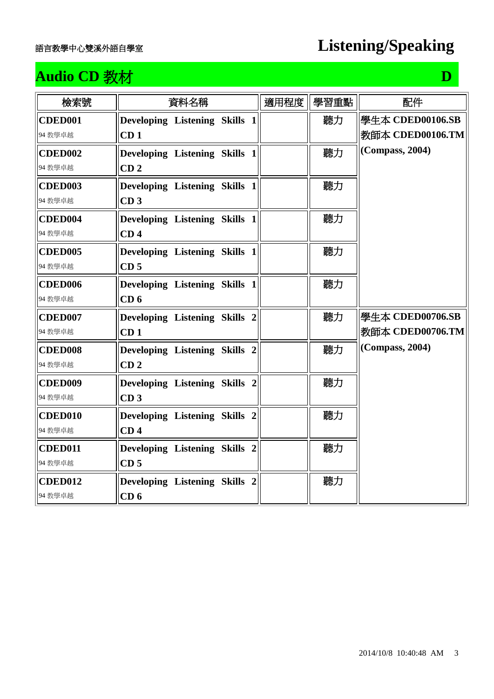## **Audio CD** 教材 **D**

| 檢索號                 | 資料名稱                          | 適用程度 | 學習重點 | 配件               |
|---------------------|-------------------------------|------|------|------------------|
| <b>CDED001</b>      | Developing Listening Skills 1 |      | 聽力   | 學生本 CDED00106.SB |
| 94 教學卓越             | CD <sub>1</sub>               |      |      | 教師本 CDED00106.TM |
| <b>CDED002</b>      | Developing Listening Skills 1 |      | 聽力   | (Compass, 2004)  |
| 94 教學卓越             | CD <sub>2</sub>               |      |      |                  |
| <b>CDED003</b>      | Developing Listening Skills 1 |      | 聽力   |                  |
| 94 教學卓越             | CD <sub>3</sub>               |      |      |                  |
| CDED <sub>004</sub> | Developing Listening Skills 1 |      | 聽力   |                  |
| 94 教學卓越             | CD <sub>4</sub>               |      |      |                  |
| <b>CDED005</b>      | Developing Listening Skills 1 |      | 聽力   |                  |
| 94 教學卓越             | CD <sub>5</sub>               |      |      |                  |
| <b>CDED006</b>      | Developing Listening Skills 1 |      | 聽力   |                  |
| 94 教學卓越             | CD <sub>6</sub>               |      |      |                  |
| <b>CDED007</b>      | Developing Listening Skills 2 |      | 聽力   | 學生本 CDED00706.SB |
| 94 教學卓越             | CD <sub>1</sub>               |      |      | 教師本 CDED00706.TM |
| <b>CDED008</b>      | Developing Listening Skills 2 |      | 聽力   | (Compass, 2004)  |
| 94 教學卓越             | CD <sub>2</sub>               |      |      |                  |
| <b>CDED009</b>      | Developing Listening Skills 2 |      | 聽力   |                  |
| 94 教學卓越             | CD <sub>3</sub>               |      |      |                  |
| <b>CDED010</b>      | Developing Listening Skills 2 |      | 聽力   |                  |
| 94 教學卓越             | CD <sub>4</sub>               |      |      |                  |
| <b>CDED011</b>      | Developing Listening Skills 2 |      | 聽力   |                  |
| 94 教學卓越             | CD <sub>5</sub>               |      |      |                  |
| CDED012             | Developing Listening Skills 2 |      | 聽力   |                  |
| 94 教學卓越             | CD <sub>6</sub>               |      |      |                  |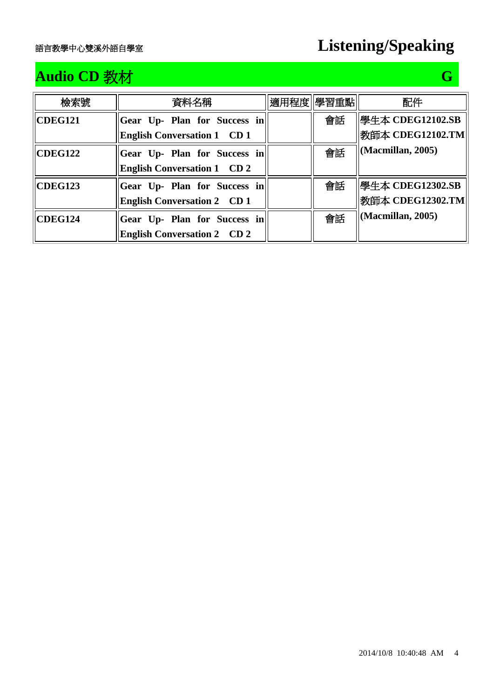# **Audio CD** 教材 **G G**

| 檢索號     | 資料名稱                               | 適用程度  學習重點 |    | 配件                                 |
|---------|------------------------------------|------------|----|------------------------------------|
| CDEG121 | Gear Up- Plan for Success in       |            | 會話 | 图生本 CDEG12102.SB                   |
|         | <b>English Conversation 1 CD 1</b> |            |    | 教師本 CDEG12102.TM                   |
| CDEG122 | Gear Up- Plan for Success in       |            | 會話 | $\vert$ (Macmillan, 2005)          |
|         | <b>English Conversation 1 CD 2</b> |            |    |                                    |
| CDEG123 | Gear Up- Plan for Success in       |            | 會話 | 學生本 CDEG12302.SB                   |
|         | <b>English Conversation 2 CD 1</b> |            |    | 教師本 CDEG12302.TM                   |
| CDEG124 | Gear Up- Plan for Success in       |            | 會話 | $\left  \right $ (Macmillan, 2005) |
|         | <b>English Conversation 2 CD 2</b> |            |    |                                    |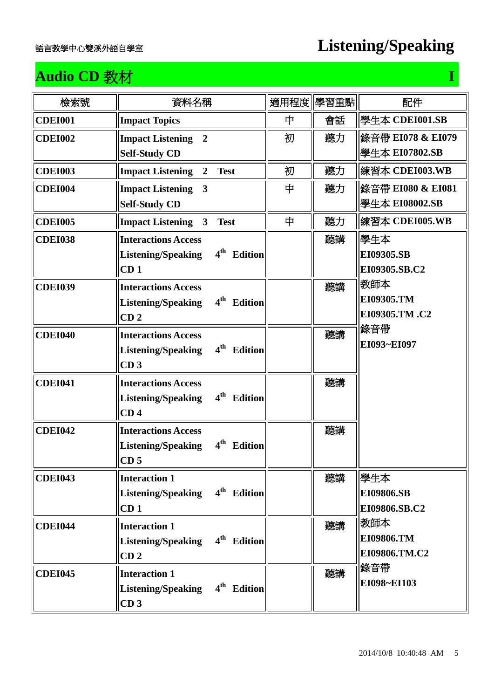## **Audio CD 教材** I **I I also the CD 教材** I **I** also the CD in the CD is a set of  $I$

| 檢索號            | 資料名稱                                                                                                            | 適用程度 | 學習重點 | 配件                                  |
|----------------|-----------------------------------------------------------------------------------------------------------------|------|------|-------------------------------------|
| <b>CDEI001</b> | <b>Impact Topics</b>                                                                                            | 中    | 會話   | 學生本 CDEI001.SB                      |
| <b>CDEI002</b> | <b>Impact Listening 2</b><br><b>Self-Study CD</b>                                                               | 初    | 聽力   | 錄音帶 EI078 & EI079<br>學生本 EI07802.SB |
| <b>CDEI003</b> | <b>Impact Listening</b><br><b>Test</b><br>$\overline{2}$                                                        | 初    | 聽力   | 練習本 CDEI003.WB                      |
| <b>CDEI004</b> | <b>Impact Listening</b><br>$\mathbf{3}$<br><b>Self-Study CD</b>                                                 | 中    | 聽力   | 錄音帶 EI080 & EI081<br>學牛本 EI08002.SB |
| <b>CDEI005</b> | <b>Impact Listening</b><br>$\mathbf{3}$<br><b>Test</b>                                                          | 中    | 聽力   | 練習本 CDEI005.WB                      |
| <b>CDEI038</b> | <b>Interactions Access</b><br>4 <sup>th</sup> Edition<br><b>Listening/Speaking</b><br>CD <sub>1</sub>           |      | 聽講   | 學生本<br>EI09305.SB<br>EI09305.SB.C2  |
| <b>CDEI039</b> | <b>Interactions Access</b><br>4 <sup>th</sup><br><b>Edition</b><br><b>Listening/Speaking</b><br>CD <sub>2</sub> |      | 聽講   | 教師本<br>EI09305.TM<br>EI09305.TM.C2  |
| <b>CDEI040</b> | <b>Interactions Access</b><br>4 <sup>th</sup><br><b>Edition</b><br><b>Listening/Speaking</b><br>CD <sub>3</sub> |      | 聽講   | 錄音帶<br>EI093~EI097                  |
| <b>CDEI041</b> | <b>Interactions Access</b><br>4 <sup>th</sup><br><b>Edition</b><br><b>Listening/Speaking</b><br>CD <sub>4</sub> |      | 聽講   |                                     |
| <b>CDEI042</b> | <b>Interactions Access</b><br>4 <sup>th</sup><br><b>Listening/Speaking</b><br><b>Edition</b><br>CD <sub>5</sub> |      | 聽講   |                                     |
| <b>CDEI043</b> | <b>Interaction 1</b><br>4 <sup>th</sup> Edition<br><b>Listening/Speaking</b><br>CD <sub>1</sub>                 |      | 聽講   | 學生本<br>EI09806.SB<br>EI09806.SB.C2  |
| <b>CDEI044</b> | <b>Interaction 1</b><br>4 <sup>th</sup> Edition<br><b>Listening/Speaking</b><br>CD <sub>2</sub>                 |      | 聽講   | 教師本<br>EI09806.TM<br>EI09806.TM.C2  |
| <b>CDEI045</b> | <b>Interaction 1</b><br>4 <sup>th</sup> Edition<br><b>Listening/Speaking</b><br>CD <sub>3</sub>                 |      | 聽講   | 錄音帶<br>EI098~EI103                  |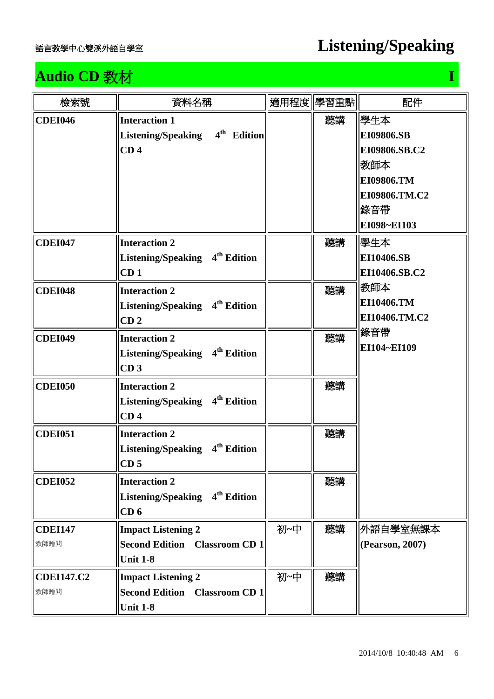# **Audio CD** 教材 **I I I I I I I I**

| 檢索號                       | 資料名稱                                                                                            |     | 適用程度 學習重點 | 配件                                                                                                                   |
|---------------------------|-------------------------------------------------------------------------------------------------|-----|-----------|----------------------------------------------------------------------------------------------------------------------|
| <b>CDEI046</b>            | <b>Interaction 1</b><br>4 <sup>th</sup> Edition<br><b>Listening/Speaking</b><br>CD <sub>4</sub> |     | 聽講        | 學生本 <br><b>EI09806.SB</b><br>EI09806.SB.C2<br>教師本<br><b>EI09806.TM</b><br>EI09806.TM.C2<br>錄音帶<br><b>EI098~EI103</b> |
| <b>CDEI047</b>            | <b>Interaction 2</b><br>Listening/Speaking 4 <sup>th</sup> Edition<br>CD <sub>1</sub>           |     | 聽講        | 學生本 <br><b>EI10406.SB</b><br>EI10406.SB.C2                                                                           |
| <b>CDEI048</b>            | <b>Interaction 2</b><br>Listening/Speaking 4 <sup>th</sup> Edition<br>CD <sub>2</sub>           |     | 聽講        | 教師本<br><b>EI10406.TM</b><br>EI10406.TM.C2                                                                            |
| <b>CDEI049</b>            | <b>Interaction 2</b><br>Listening/Speaking 4 <sup>th</sup> Edition<br>CD <sub>3</sub>           |     | 聽講        | 錄音帶<br><b>EI104~EI109</b>                                                                                            |
| <b>CDEI050</b>            | <b>Interaction 2</b><br>Listening/Speaking 4 <sup>th</sup> Edition<br>CD <sub>4</sub>           |     | 聽講        |                                                                                                                      |
| <b>CDEI051</b>            | <b>Interaction 2</b><br>Listening/Speaking 4 <sup>th</sup> Edition<br>CD <sub>5</sub>           |     | 聽講        |                                                                                                                      |
| <b>CDEI052</b>            | <b>Interaction 2</b><br>Listening/Speaking 4 <sup>th</sup> Edition<br>CD <sub>6</sub>           |     | 聽講        |                                                                                                                      |
| <b>CDEI147</b><br>教師贈閱    | <b>Impact Listening 2</b><br><b>Second Edition Classroom CD 1</b><br><b>Unit 1-8</b>            | 初~中 | 聽講        | 外語自學室無課本 <br>(Pearson, 2007)                                                                                         |
| <b>CDEI147.C2</b><br>教師贈閱 | <b>Impact Listening 2</b><br><b>Second Edition Classroom CD 1</b><br><b>Unit 1-8</b>            | 初~中 | 聽講        |                                                                                                                      |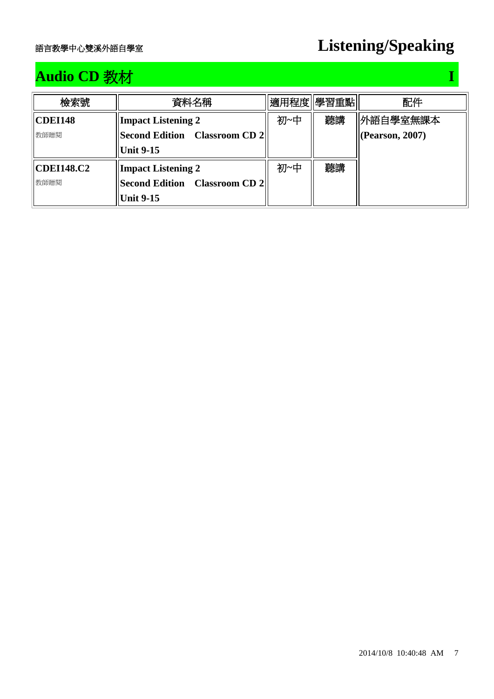## **Audio CD 教材** I **I I according to the U and I amount of T**

| 檢索號               | 資料名稱                          | 適用程度  學習重點 |    | 配件                  |
|-------------------|-------------------------------|------------|----|---------------------|
| <b>CDEI148</b>    | <b>Impact Listening 2</b>     | 初~中        | 聽講 | 外語自學室無課本            |
| 教師贈閱              | Second Edition Classroom CD 2 |            |    | $ $ (Pearson, 2007) |
|                   | <b>Unit 9-15</b>              |            |    |                     |
| <b>CDEI148.C2</b> | <b>Impact Listening 2</b>     | 初~中        | 聽講 |                     |
| 教師贈閱              | Second Edition Classroom CD 2 |            |    |                     |
|                   | <b>Unit 9-15</b>              |            |    |                     |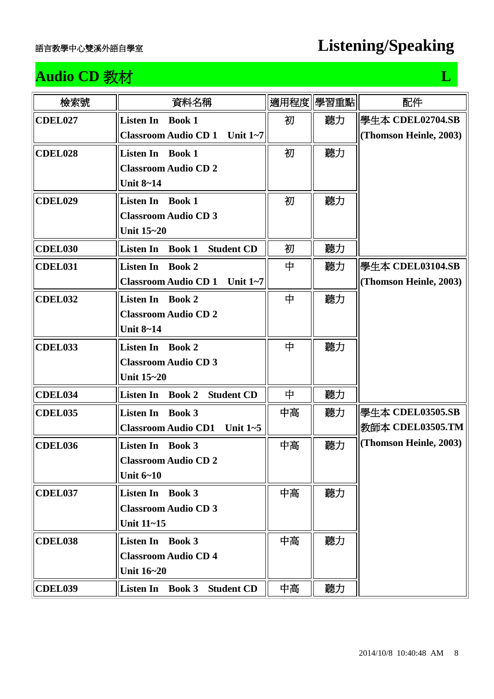## **Audio CD** 教材 **L L**

| 檢索號            | 資料名稱                                                   | 適用程度 | 學習重點 | 配件                     |
|----------------|--------------------------------------------------------|------|------|------------------------|
| CDEL027        | <b>Book 1</b><br><b>Listen In</b>                      | 初    | 聽力   | 學生本 CDEL02704.SB       |
|                | Classroom Audio CD 1 Unit 1~7                          |      |      | (Thomson Heinle, 2003) |
| CDEL028        | <b>Listen In Book 1</b>                                | 初    | 聽力   |                        |
|                | <b>Classroom Audio CD 2</b>                            |      |      |                        |
|                | <b>Unit 8~14</b>                                       |      |      |                        |
| CDEL029        | <b>Listen In Book 1</b>                                | 初    | 聽力   |                        |
|                | <b>Classroom Audio CD 3</b>                            |      |      |                        |
|                | Unit 15~20                                             |      |      |                        |
| <b>CDEL030</b> | <b>Listen In</b><br><b>Book 1</b><br><b>Student CD</b> | 初    | 聽力   |                        |
| CDEL031        | <b>Listen In</b><br><b>Book 2</b>                      | 中    | 聽力   | 學生本 CDEL03104.SB       |
|                | <b>Classroom Audio CD 1</b><br>Unit $1-7$              |      |      | (Thomson Heinle, 2003) |
| CDEL032        | <b>Listen In</b><br><b>Book 2</b>                      | 中    | 聽力   |                        |
|                | <b>Classroom Audio CD 2</b>                            |      |      |                        |
|                | <b>Unit 8~14</b>                                       |      |      |                        |
| CDEL033        | <b>Listen In</b><br><b>Book 2</b>                      | 中    | 聽力   |                        |
|                | <b>Classroom Audio CD 3</b>                            |      |      |                        |
|                | <b>Unit 15~20</b>                                      |      |      |                        |
| CDEL034        | Listen In Book 2<br><b>Student CD</b>                  | 中    | 聽力   |                        |
| <b>CDEL035</b> | <b>Listen In Book 3</b>                                | 中高   | 聽力   | 學生本 CDEL03505.SB       |
|                | Unit $1-5$<br><b>Classroom Audio CD1</b>               |      |      | 教師本 CDEL03505.TM       |
| CDEL036        | <b>Listen In Book 3</b>                                | 中高   | 聽力   | (Thomson Heinle, 2003) |
|                | <b>Classroom Audio CD 2</b>                            |      |      |                        |
|                | Unit $6 - 10$                                          |      |      |                        |
| CDEL037        | <b>Listen In Book 3</b>                                | 中高   | 聽力   |                        |
|                | <b>Classroom Audio CD 3</b>                            |      |      |                        |
|                | Unit 11~15                                             |      |      |                        |
| <b>CDEL038</b> | <b>Listen In</b> Book 3                                | 中高   | 聽力   |                        |
|                | <b>Classroom Audio CD 4</b>                            |      |      |                        |
|                | Unit 16~20                                             |      |      |                        |
| CDEL039        | Listen In Book 3<br><b>Student CD</b>                  | 中高   | 聽力   |                        |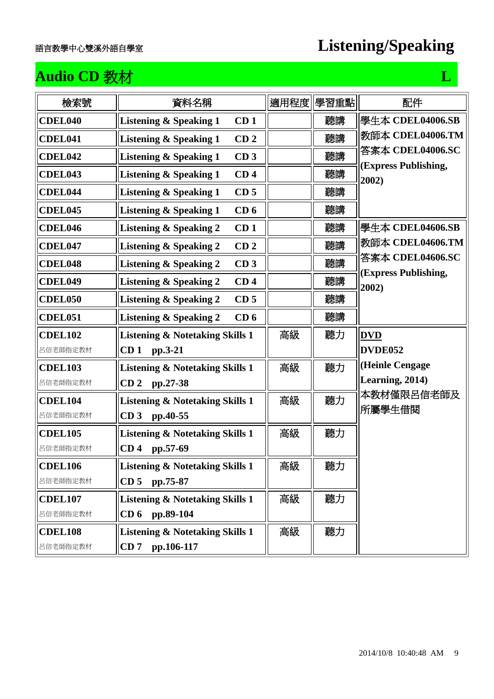## **Audio CD** 教材 **L L**

| 檢索號            | 資料名稱                                                 | 適用程度 | 學習重點 | 配件                            |
|----------------|------------------------------------------------------|------|------|-------------------------------|
| <b>CDEL040</b> | <b>Listening &amp; Speaking 1</b><br>CD <sub>1</sub> |      | 聽講   | 學生本 CDEL04006.SB              |
| <b>CDEL041</b> | CD <sub>2</sub><br><b>Listening &amp; Speaking 1</b> |      | 聽講   | 教師本 CDEL04006.TM              |
| <b>CDEL042</b> | <b>Listening &amp; Speaking 1</b><br>CD <sub>3</sub> |      | 聽講   | 答案本 CDEL04006.SC              |
| <b>CDEL043</b> | <b>Listening &amp; Speaking 1</b><br>CD <sub>4</sub> |      | 聽講   | (Express Publishing,<br>2002) |
| CDEL044        | <b>Listening &amp; Speaking 1</b><br>CD <sub>5</sub> |      | 聽講   |                               |
| <b>CDEL045</b> | <b>Listening &amp; Speaking 1</b><br>CD <sub>6</sub> |      | 聽講   |                               |
| <b>CDEL046</b> | <b>Listening &amp; Speaking 2</b><br>CD <sub>1</sub> |      | 聽講   | 學生本 CDEL04606.SB              |
| <b>CDEL047</b> | <b>Listening &amp; Speaking 2</b><br>CD <sub>2</sub> |      | 聽講   | 教師本 CDEL04606.TM              |
| CDEL048        | <b>Listening &amp; Speaking 2</b><br>CD <sub>3</sub> |      | 聽講   | 答案本 CDEL04606.SC              |
| <b>CDEL049</b> | <b>Listening &amp; Speaking 2</b><br>CD <sub>4</sub> |      | 聽講   | (Express Publishing,<br>2002) |
| <b>CDEL050</b> | <b>Listening &amp; Speaking 2</b><br>CD <sub>5</sub> |      | 聽講   |                               |
| <b>CDEL051</b> | <b>Listening &amp; Speaking 2</b><br>CD <sub>6</sub> |      | 聽講   |                               |
| <b>CDEL102</b> | <b>Listening &amp; Notetaking Skills 1</b>           | 高級   | 聽力   | <b>DVD</b>                    |
| 呂信老師指定教材       | CD <sub>1</sub><br>pp.3-21                           |      |      | DVDE052                       |
| <b>CDEL103</b> | <b>Listening &amp; Notetaking Skills 1</b>           | 高級   | 聽力   | (Heinle Cengage               |
| 呂信老師指定教材       | CD <sub>2</sub><br>pp.27-38                          |      |      | Learning, 2014)               |
| <b>CDEL104</b> | <b>Listening &amp; Notetaking Skills 1</b>           | 高級   | 聽力   | 本教材僅限呂信老師及<br> 所屬學生借閱         |
| 呂信老師指定教材       | CD <sub>3</sub><br>pp.40-55                          |      |      |                               |
| <b>CDEL105</b> | <b>Listening &amp; Notetaking Skills 1</b>           | 高級   | 聽力   |                               |
| 呂信老師指定教材       | CD <sub>4</sub><br>pp.57-69                          |      |      |                               |
| <b>CDEL106</b> | <b>Listening &amp; Notetaking Skills 1</b>           | 高級   | 聽力   |                               |
| 呂信老師指定教材       | CD <sub>5</sub><br>pp.75-87                          |      |      |                               |
| <b>CDEL107</b> | <b>Listening &amp; Notetaking Skills 1</b>           | 高級   | 聽力   |                               |
| 呂信老師指定教材       | CD <sub>6</sub><br>pp.89-104                         |      |      |                               |
| <b>CDEL108</b> | <b>Listening &amp; Notetaking Skills 1</b>           | 高級   | 聽力   |                               |
| 呂信老師指定教材       | CD7<br>pp.106-117                                    |      |      |                               |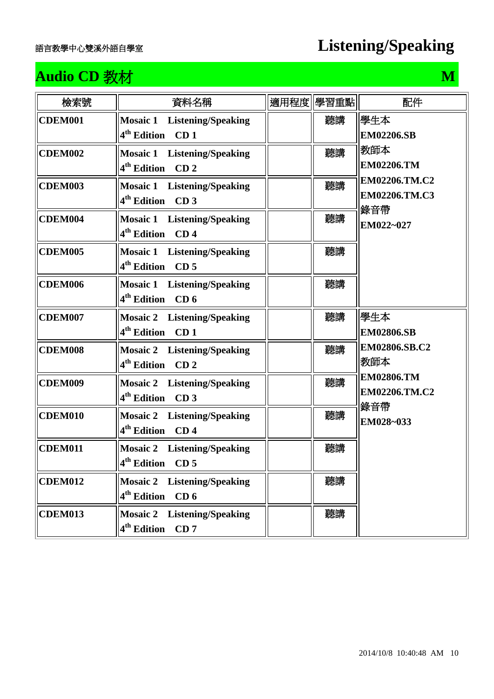## **Audio CD 教材 M**

| 檢索號            | 資料名稱                                                                             | 適用程度 學習重點 | 配件                                    |
|----------------|----------------------------------------------------------------------------------|-----------|---------------------------------------|
| CDEM001        | <b>Mosaic 1 Listening/Speaking</b><br>4 <sup>th</sup> Edition CD 1               | 聽講        | 學生本<br><b>EM02206.SB</b>              |
| <b>CDEM002</b> | <b>Mosaic 1 Listening/Speaking</b><br>4 <sup>th</sup> Edition<br>CD <sub>2</sub> | 聽講        | 教師本<br><b>EM02206.TM</b>              |
| <b>CDEM003</b> | <b>Mosaic 1</b> Listening/Speaking<br>4 <sup>th</sup> Edition CD 3               | 聽講        | EM02206.TM.C2<br>EM02206.TM.C3<br>錄音帶 |
| CDEM004        | <b>Mosaic 1</b> Listening/Speaking<br>4 <sup>th</sup> Edition CD 4               | 聽講        | EM022~027                             |
| <b>CDEM005</b> | <b>Mosaic 1</b> Listening/Speaking<br>4 <sup>th</sup> Edition<br>CD <sub>5</sub> | 聽講        |                                       |
| CDEM006        | <b>Mosaic 1</b> Listening/Speaking<br>4 <sup>th</sup> Edition CD 6               | 聽講        |                                       |
| <b>CDEM007</b> | <b>Mosaic 2</b> Listening/Speaking<br>4 <sup>th</sup> Edition<br>CD <sub>1</sub> | 聽講        | 學生本<br><b>EM02806.SB</b>              |
| CDEM008        | <b>Mosaic 2</b> Listening/Speaking<br>4 <sup>th</sup> Edition CD 2               | 聽講        | EM02806.SB.C2<br> 教師本                 |
| <b>CDEM009</b> | <b>Mosaic 2</b> Listening/Speaking<br>4 <sup>th</sup> Edition<br>CD <sub>3</sub> | 聽講        | <b>EM02806.TM</b><br>EM02206.TM.C2    |
| CDEM010        | <b>Mosaic 2</b> Listening/Speaking<br>4 <sup>th</sup> Edition<br>CD <sub>4</sub> | 聽講        | 錄音帶<br>EM028~033                      |
| CDEM011        | <b>Mosaic 2</b> Listening/Speaking<br>$4th$ Edition CD 5                         | 聽講        |                                       |
| <b>CDEM012</b> | <b>Mosaic 2</b> Listening/Speaking<br>4 <sup>th</sup> Edition<br>CD <sub>6</sub> | 聽講        |                                       |
| <b>CDEM013</b> | <b>Mosaic 2 Listening/Speaking</b><br>4 <sup>th</sup> Edition<br>CD7             | 聽講        |                                       |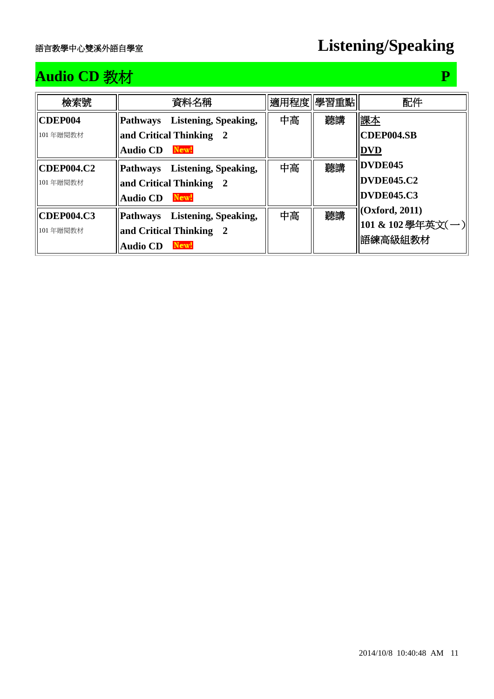## **Audio CD** 教材 **P**

| 檢索號               | 資料名稱                          |    | 適用程度 學習重點 | 配件                |
|-------------------|-------------------------------|----|-----------|-------------------|
| <b>CDEP004</b>    | Pathways Listening, Speaking, | 中高 | 聽講        | 課本                |
| 101年贈閱教材          | and Critical Thinking 2       |    |           | <b>CDEP004.SB</b> |
|                   | New!<br><b>Audio CD</b>       |    |           | <b>DVD</b>        |
| <b>CDEP004.C2</b> | Pathways Listening, Speaking, | 中高 | 聽講        | DVDE045           |
| 101年贈閱教材          | and Critical Thinking 2       |    |           | DVDE045.C2        |
|                   | New!<br><b>Audio CD</b>       |    |           | <b>DVDE045.C3</b> |
| <b>CDEP004.C3</b> | Pathways Listening, Speaking, | 中高 | 聽講        | (Oxford, 2011)    |
| 101年贈閱教材          | and Critical Thinking 2       |    |           | 101 & 102 學年英文(一) |
|                   | New!<br><b>Audio CD</b>       |    |           | 語練高級組教材           |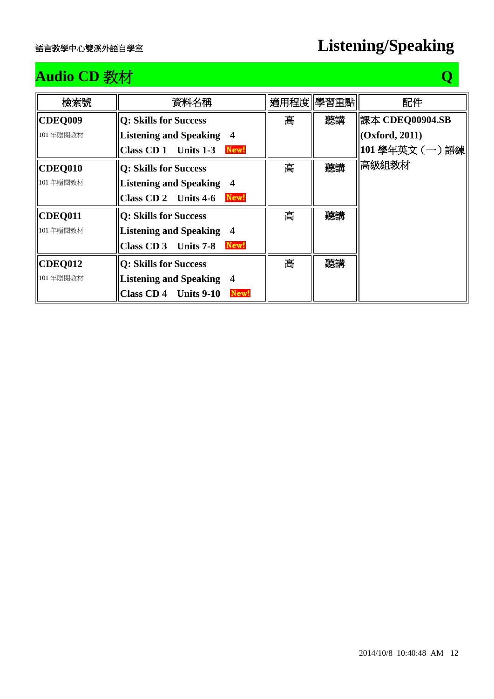## **Audio CD** 教材 **Q**

| 檢索號            | 資料名稱                                          |   | 適用程度  學習重點 | 配件              |
|----------------|-----------------------------------------------|---|------------|-----------------|
| <b>CDEQ009</b> | <b>Q: Skills for Success</b>                  | 高 | 聽講         | 課本 CDEQ00904.SB |
| 101年贈閱教材       | <b>Listening and Speaking 4</b>               |   |            | (Oxford, 2011)  |
|                | Class CD 1 Units 1-3<br>New!                  |   |            | 101學年英文(一)語練    |
| CDEQ010        | <b>Q: Skills for Success</b>                  | 高 | 聽講         | 高級組教材           |
| 101年贈閱教材       | <b>Listening and Speaking 4</b>               |   |            |                 |
|                | Class CD 2 Units 4-6<br>New!                  |   |            |                 |
| <b>CDEQ011</b> | <b>Q: Skills for Success</b>                  | 高 | 聽講         |                 |
| 101年贈閱教材       | <b>Listening and Speaking 4</b>               |   |            |                 |
|                | New!<br>Class CD 3 Units 7-8                  |   |            |                 |
| <b>CDEQ012</b> | <b>Q: Skills for Success</b>                  | 高 | 聽講         |                 |
| 101年贈閱教材       | <b>Listening and Speaking 4</b>               |   |            |                 |
|                | <b>Class CD4</b><br><b>Units 9-10</b><br>New! |   |            |                 |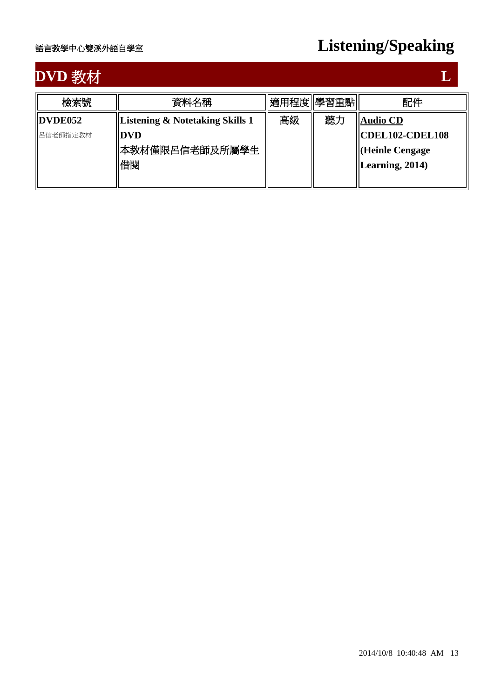# **DVD** 教材 **L L L**

| 檢索號      | 資料名稱                                       | 適用程度  學習重點 |    | 配件                                                              |
|----------|--------------------------------------------|------------|----|-----------------------------------------------------------------|
| DVDE052  | <b>Listening &amp; Notetaking Skills 1</b> | 高級         | 聽力 | <b>Audio CD</b>                                                 |
| 呂信老師指定教材 | <b>DVD</b><br>本教材僅限呂信老師及所屬學生<br>借関         |            |    | $ CDEL102-CDEL108$<br>Heinle Cengage<br>$\vert$ Learning, 2014) |